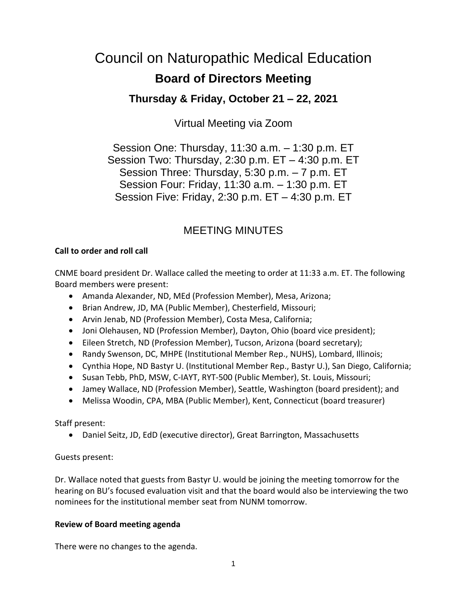# Council on Naturopathic Medical Education **Board of Directors Meeting**

## **Thursday & Friday, October 21 – 22, 2021**

Virtual Meeting via Zoom

Session One: Thursday, 11:30 a.m. – 1:30 p.m. ET Session Two: Thursday, 2:30 p.m. ET – 4:30 p.m. ET Session Three: Thursday, 5:30 p.m. – 7 p.m. ET Session Four: Friday, 11:30 a.m. – 1:30 p.m. ET Session Five: Friday, 2:30 p.m. ET – 4:30 p.m. ET

# MEETING MINUTES

## **Call to order and roll call**

CNME board president Dr. Wallace called the meeting to order at 11:33 a.m. ET. The following Board members were present:

- Amanda Alexander, ND, MEd (Profession Member), Mesa, Arizona;
- Brian Andrew, JD, MA (Public Member), Chesterfield, Missouri;
- Arvin Jenab, ND (Profession Member), Costa Mesa, California;
- Joni Olehausen, ND (Profession Member), Dayton, Ohio (board vice president);
- Eileen Stretch, ND (Profession Member), Tucson, Arizona (board secretary);
- Randy Swenson, DC, MHPE (Institutional Member Rep., NUHS), Lombard, Illinois;
- Cynthia Hope, ND Bastyr U. (Institutional Member Rep., Bastyr U.), San Diego, California;
- Susan Tebb, PhD, MSW, C-IAYT, RYT-500 (Public Member), St. Louis, Missouri;
- Jamey Wallace, ND (Profession Member), Seattle, Washington (board president); and
- Melissa Woodin, CPA, MBA (Public Member), Kent, Connecticut (board treasurer)

Staff present:

• Daniel Seitz, JD, EdD (executive director), Great Barrington, Massachusetts

## Guests present:

Dr. Wallace noted that guests from Bastyr U. would be joining the meeting tomorrow for the hearing on BU's focused evaluation visit and that the board would also be interviewing the two nominees for the institutional member seat from NUNM tomorrow.

## **Review of Board meeting agenda**

There were no changes to the agenda.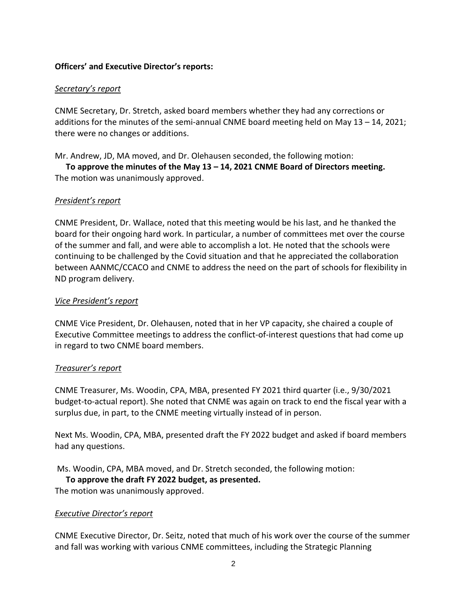#### **Officers' and Executive Director's reports:**

#### *Secretary's report*

CNME Secretary, Dr. Stretch, asked board members whether they had any corrections or additions for the minutes of the semi-annual CNME board meeting held on May 13 – 14, 2021; there were no changes or additions.

Mr. Andrew, JD, MA moved, and Dr. Olehausen seconded, the following motion:

**To approve the minutes of the May 13 – 14, 2021 CNME Board of Directors meeting.** The motion was unanimously approved.

#### *President's report*

CNME President, Dr. Wallace, noted that this meeting would be his last, and he thanked the board for their ongoing hard work. In particular, a number of committees met over the course of the summer and fall, and were able to accomplish a lot. He noted that the schools were continuing to be challenged by the Covid situation and that he appreciated the collaboration between AANMC/CCACO and CNME to address the need on the part of schools for flexibility in ND program delivery.

#### *Vice President's report*

CNME Vice President, Dr. Olehausen, noted that in her VP capacity, she chaired a couple of Executive Committee meetings to address the conflict-of-interest questions that had come up in regard to two CNME board members.

#### *Treasurer's report*

CNME Treasurer, Ms. Woodin, CPA, MBA, presented FY 2021 third quarter (i.e., 9/30/2021 budget-to-actual report). She noted that CNME was again on track to end the fiscal year with a surplus due, in part, to the CNME meeting virtually instead of in person.

Next Ms. Woodin, CPA, MBA, presented draft the FY 2022 budget and asked if board members had any questions.

Ms. Woodin, CPA, MBA moved, and Dr. Stretch seconded, the following motion:

#### **To approve the draft FY 2022 budget, as presented.**

The motion was unanimously approved.

#### *Executive Director's report*

CNME Executive Director, Dr. Seitz, noted that much of his work over the course of the summer and fall was working with various CNME committees, including the Strategic Planning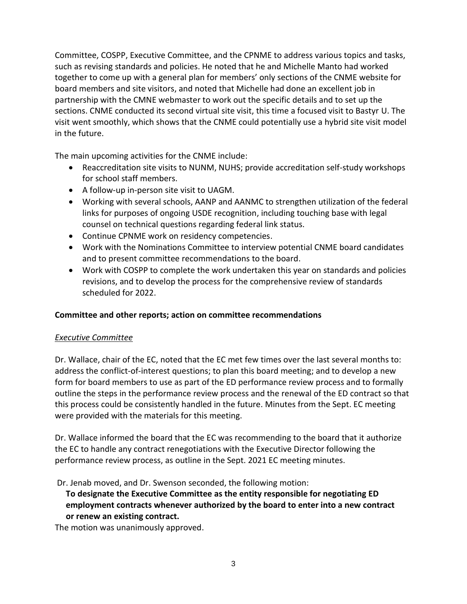Committee, COSPP, Executive Committee, and the CPNME to address various topics and tasks, such as revising standards and policies. He noted that he and Michelle Manto had worked together to come up with a general plan for members' only sections of the CNME website for board members and site visitors, and noted that Michelle had done an excellent job in partnership with the CMNE webmaster to work out the specific details and to set up the sections. CNME conducted its second virtual site visit, this time a focused visit to Bastyr U. The visit went smoothly, which shows that the CNME could potentially use a hybrid site visit model in the future.

The main upcoming activities for the CNME include:

- Reaccreditation site visits to NUNM, NUHS; provide accreditation self-study workshops for school staff members.
- A follow-up in-person site visit to UAGM.
- Working with several schools, AANP and AANMC to strengthen utilization of the federal links for purposes of ongoing USDE recognition, including touching base with legal counsel on technical questions regarding federal link status.
- Continue CPNME work on residency competencies.
- Work with the Nominations Committee to interview potential CNME board candidates and to present committee recommendations to the board.
- Work with COSPP to complete the work undertaken this year on standards and policies revisions, and to develop the process for the comprehensive review of standards scheduled for 2022.

## **Committee and other reports; action on committee recommendations**

## *Executive Committee*

Dr. Wallace, chair of the EC, noted that the EC met few times over the last several months to: address the conflict-of-interest questions; to plan this board meeting; and to develop a new form for board members to use as part of the ED performance review process and to formally outline the steps in the performance review process and the renewal of the ED contract so that this process could be consistently handled in the future. Minutes from the Sept. EC meeting were provided with the materials for this meeting.

Dr. Wallace informed the board that the EC was recommending to the board that it authorize the EC to handle any contract renegotiations with the Executive Director following the performance review process, as outline in the Sept. 2021 EC meeting minutes.

Dr. Jenab moved, and Dr. Swenson seconded, the following motion:

**To designate the Executive Committee as the entity responsible for negotiating ED employment contracts whenever authorized by the board to enter into a new contract or renew an existing contract.**

The motion was unanimously approved.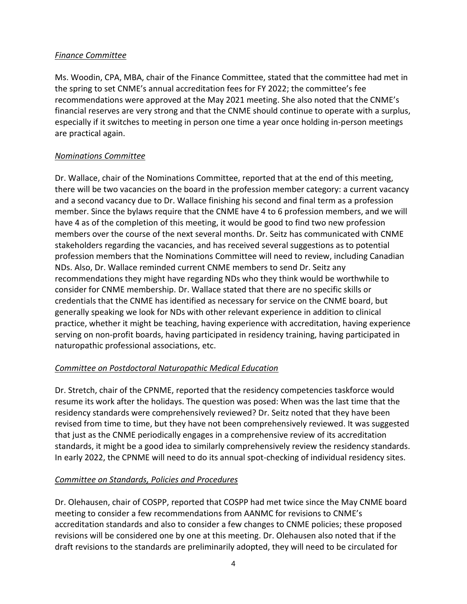#### *Finance Committee*

Ms. Woodin, CPA, MBA, chair of the Finance Committee, stated that the committee had met in the spring to set CNME's annual accreditation fees for FY 2022; the committee's fee recommendations were approved at the May 2021 meeting. She also noted that the CNME's financial reserves are very strong and that the CNME should continue to operate with a surplus, especially if it switches to meeting in person one time a year once holding in-person meetings are practical again.

## *Nominations Committee*

Dr. Wallace, chair of the Nominations Committee, reported that at the end of this meeting, there will be two vacancies on the board in the profession member category: a current vacancy and a second vacancy due to Dr. Wallace finishing his second and final term as a profession member. Since the bylaws require that the CNME have 4 to 6 profession members, and we will have 4 as of the completion of this meeting, it would be good to find two new profession members over the course of the next several months. Dr. Seitz has communicated with CNME stakeholders regarding the vacancies, and has received several suggestions as to potential profession members that the Nominations Committee will need to review, including Canadian NDs. Also, Dr. Wallace reminded current CNME members to send Dr. Seitz any recommendations they might have regarding NDs who they think would be worthwhile to consider for CNME membership. Dr. Wallace stated that there are no specific skills or credentials that the CNME has identified as necessary for service on the CNME board, but generally speaking we look for NDs with other relevant experience in addition to clinical practice, whether it might be teaching, having experience with accreditation, having experience serving on non-profit boards, having participated in residency training, having participated in naturopathic professional associations, etc.

## *Committee on Postdoctoral Naturopathic Medical Education*

Dr. Stretch, chair of the CPNME, reported that the residency competencies taskforce would resume its work after the holidays. The question was posed: When was the last time that the residency standards were comprehensively reviewed? Dr. Seitz noted that they have been revised from time to time, but they have not been comprehensively reviewed. It was suggested that just as the CNME periodically engages in a comprehensive review of its accreditation standards, it might be a good idea to similarly comprehensively review the residency standards. In early 2022, the CPNME will need to do its annual spot-checking of individual residency sites.

## *Committee on Standards, Policies and Procedures*

Dr. Olehausen, chair of COSPP, reported that COSPP had met twice since the May CNME board meeting to consider a few recommendations from AANMC for revisions to CNME's accreditation standards and also to consider a few changes to CNME policies; these proposed revisions will be considered one by one at this meeting. Dr. Olehausen also noted that if the draft revisions to the standards are preliminarily adopted, they will need to be circulated for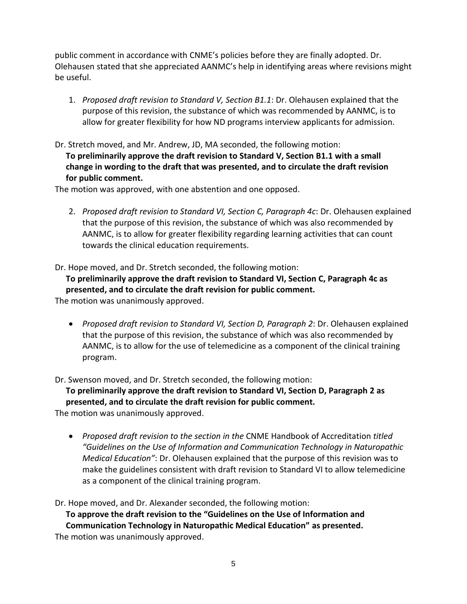public comment in accordance with CNME's policies before they are finally adopted. Dr. Olehausen stated that she appreciated AANMC's help in identifying areas where revisions might be useful.

- 1. *Proposed draft revision to Standard V, Section B1.1*: Dr. Olehausen explained that the purpose of this revision, the substance of which was recommended by AANMC, is to allow for greater flexibility for how ND programs interview applicants for admission.
- Dr. Stretch moved, and Mr. Andrew, JD, MA seconded, the following motion: **To preliminarily approve the draft revision to Standard V, Section B1.1 with a small change in wording to the draft that was presented, and to circulate the draft revision for public comment.**

The motion was approved, with one abstention and one opposed.

2. *Proposed draft revision to Standard VI, Section C, Paragraph 4c*: Dr. Olehausen explained that the purpose of this revision, the substance of which was also recommended by AANMC, is to allow for greater flexibility regarding learning activities that can count towards the clinical education requirements.

Dr. Hope moved, and Dr. Stretch seconded, the following motion:

**To preliminarily approve the draft revision to Standard VI, Section C, Paragraph 4c as presented, and to circulate the draft revision for public comment.**

The motion was unanimously approved.

• *Proposed draft revision to Standard VI, Section D, Paragraph 2*: Dr. Olehausen explained that the purpose of this revision, the substance of which was also recommended by AANMC, is to allow for the use of telemedicine as a component of the clinical training program.

Dr. Swenson moved, and Dr. Stretch seconded, the following motion:

**To preliminarily approve the draft revision to Standard VI, Section D, Paragraph 2 as presented, and to circulate the draft revision for public comment.**

The motion was unanimously approved.

• *Proposed draft revision to the section in the* CNME Handbook of Accreditation *titled "Guidelines on the Use of Information and Communication Technology in Naturopathic Medical Education"*: Dr. Olehausen explained that the purpose of this revision was to make the guidelines consistent with draft revision to Standard VI to allow telemedicine as a component of the clinical training program.

Dr. Hope moved, and Dr. Alexander seconded, the following motion:

**To approve the draft revision to the "Guidelines on the Use of Information and Communication Technology in Naturopathic Medical Education" as presented.** The motion was unanimously approved.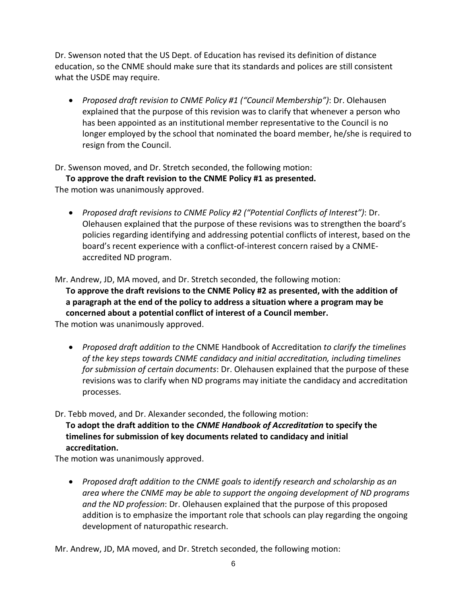Dr. Swenson noted that the US Dept. of Education has revised its definition of distance education, so the CNME should make sure that its standards and polices are still consistent what the USDE may require.

• *Proposed draft revision to CNME Policy #1 ("Council Membership")*: Dr. Olehausen explained that the purpose of this revision was to clarify that whenever a person who has been appointed as an institutional member representative to the Council is no longer employed by the school that nominated the board member, he/she is required to resign from the Council.

Dr. Swenson moved, and Dr. Stretch seconded, the following motion:

**To approve the draft revision to the CNME Policy #1 as presented.**

The motion was unanimously approved.

• *Proposed draft revisions to CNME Policy #2 ("Potential Conflicts of Interest")*: Dr. Olehausen explained that the purpose of these revisions was to strengthen the board's policies regarding identifying and addressing potential conflicts of interest, based on the board's recent experience with a conflict-of-interest concern raised by a CNMEaccredited ND program.

Mr. Andrew, JD, MA moved, and Dr. Stretch seconded, the following motion:

**To approve the draft revisions to the CNME Policy #2 as presented, with the addition of a paragraph at the end of the policy to address a situation where a program may be concerned about a potential conflict of interest of a Council member.**  The motion was unanimously approved.

• *Proposed draft addition to the* CNME Handbook of Accreditation *to clarify the timelines of the key steps towards CNME candidacy and initial accreditation, including timelines for submission of certain documents*: Dr. Olehausen explained that the purpose of these revisions was to clarify when ND programs may initiate the candidacy and accreditation processes.

Dr. Tebb moved, and Dr. Alexander seconded, the following motion:

**To adopt the draft addition to the** *CNME Handbook of Accreditation* **to specify the timelines for submission of key documents related to candidacy and initial accreditation.** 

The motion was unanimously approved.

• *Proposed draft addition to the CNME goals to identify research and scholarship as an area where the CNME may be able to support the ongoing development of ND programs and the ND profession*: Dr. Olehausen explained that the purpose of this proposed addition is to emphasize the important role that schools can play regarding the ongoing development of naturopathic research.

Mr. Andrew, JD, MA moved, and Dr. Stretch seconded, the following motion: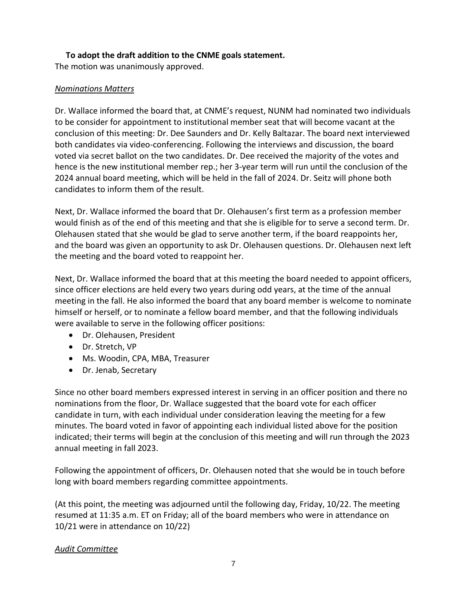#### **To adopt the draft addition to the CNME goals statement.**

The motion was unanimously approved.

## *Nominations Matters*

Dr. Wallace informed the board that, at CNME's request, NUNM had nominated two individuals to be consider for appointment to institutional member seat that will become vacant at the conclusion of this meeting: Dr. Dee Saunders and Dr. Kelly Baltazar. The board next interviewed both candidates via video-conferencing. Following the interviews and discussion, the board voted via secret ballot on the two candidates. Dr. Dee received the majority of the votes and hence is the new institutional member rep.; her 3-year term will run until the conclusion of the 2024 annual board meeting, which will be held in the fall of 2024. Dr. Seitz will phone both candidates to inform them of the result.

Next, Dr. Wallace informed the board that Dr. Olehausen's first term as a profession member would finish as of the end of this meeting and that she is eligible for to serve a second term. Dr. Olehausen stated that she would be glad to serve another term, if the board reappoints her, and the board was given an opportunity to ask Dr. Olehausen questions. Dr. Olehausen next left the meeting and the board voted to reappoint her.

Next, Dr. Wallace informed the board that at this meeting the board needed to appoint officers, since officer elections are held every two years during odd years, at the time of the annual meeting in the fall. He also informed the board that any board member is welcome to nominate himself or herself, or to nominate a fellow board member, and that the following individuals were available to serve in the following officer positions:

- Dr. Olehausen, President
- Dr. Stretch, VP
- Ms. Woodin, CPA, MBA, Treasurer
- Dr. Jenab, Secretary

Since no other board members expressed interest in serving in an officer position and there no nominations from the floor, Dr. Wallace suggested that the board vote for each officer candidate in turn, with each individual under consideration leaving the meeting for a few minutes. The board voted in favor of appointing each individual listed above for the position indicated; their terms will begin at the conclusion of this meeting and will run through the 2023 annual meeting in fall 2023.

Following the appointment of officers, Dr. Olehausen noted that she would be in touch before long with board members regarding committee appointments.

(At this point, the meeting was adjourned until the following day, Friday, 10/22. The meeting resumed at 11:35 a.m. ET on Friday; all of the board members who were in attendance on 10/21 were in attendance on 10/22)

#### *Audit Committee*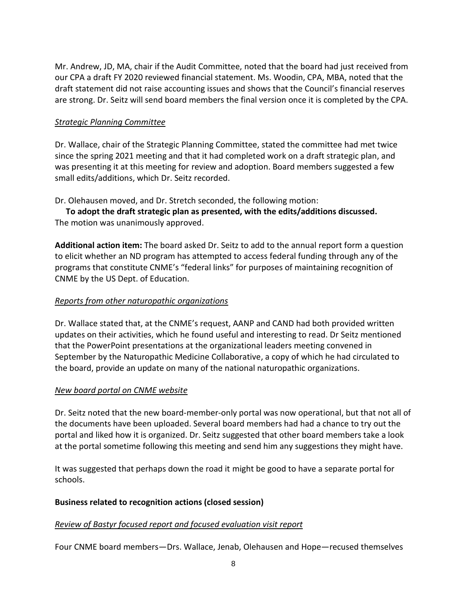Mr. Andrew, JD, MA, chair if the Audit Committee, noted that the board had just received from our CPA a draft FY 2020 reviewed financial statement. Ms. Woodin, CPA, MBA, noted that the draft statement did not raise accounting issues and shows that the Council's financial reserves are strong. Dr. Seitz will send board members the final version once it is completed by the CPA.

#### *Strategic Planning Committee*

Dr. Wallace, chair of the Strategic Planning Committee, stated the committee had met twice since the spring 2021 meeting and that it had completed work on a draft strategic plan, and was presenting it at this meeting for review and adoption. Board members suggested a few small edits/additions, which Dr. Seitz recorded.

Dr. Olehausen moved, and Dr. Stretch seconded, the following motion:

**To adopt the draft strategic plan as presented, with the edits/additions discussed.**  The motion was unanimously approved.

**Additional action item:** The board asked Dr. Seitz to add to the annual report form a question to elicit whether an ND program has attempted to access federal funding through any of the programs that constitute CNME's "federal links" for purposes of maintaining recognition of CNME by the US Dept. of Education.

## *Reports from other naturopathic organizations*

Dr. Wallace stated that, at the CNME's request, AANP and CAND had both provided written updates on their activities, which he found useful and interesting to read. Dr Seitz mentioned that the PowerPoint presentations at the organizational leaders meeting convened in September by the Naturopathic Medicine Collaborative, a copy of which he had circulated to the board, provide an update on many of the national naturopathic organizations.

#### *New board portal on CNME website*

Dr. Seitz noted that the new board-member-only portal was now operational, but that not all of the documents have been uploaded. Several board members had had a chance to try out the portal and liked how it is organized. Dr. Seitz suggested that other board members take a look at the portal sometime following this meeting and send him any suggestions they might have.

It was suggested that perhaps down the road it might be good to have a separate portal for schools.

#### **Business related to recognition actions (closed session)**

#### *Review of Bastyr focused report and focused evaluation visit report*

Four CNME board members—Drs. Wallace, Jenab, Olehausen and Hope—recused themselves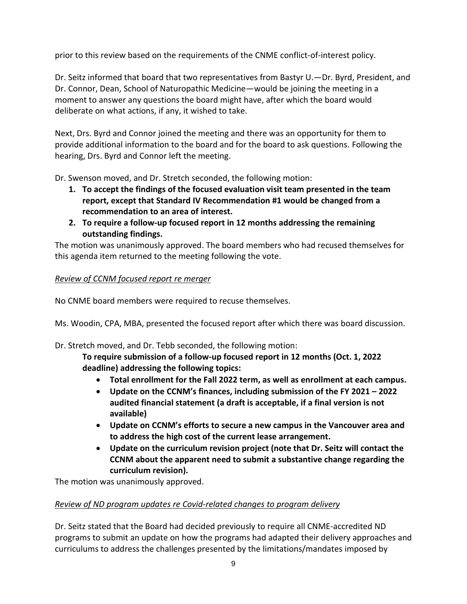prior to this review based on the requirements of the CNME conflict-of-interest policy.

Dr. Seitz informed that board that two representatives from Bastyr U.—Dr. Byrd, President, and Dr. Connor, Dean, School of Naturopathic Medicine—would be joining the meeting in a moment to answer any questions the board might have, after which the board would deliberate on what actions, if any, it wished to take.

Next, Drs. Byrd and Connor joined the meeting and there was an opportunity for them to provide additional information to the board and for the board to ask questions. Following the hearing, Drs. Byrd and Connor left the meeting.

Dr. Swenson moved, and Dr. Stretch seconded, the following motion:

- **1. To accept the findings of the focused evaluation visit team presented in the team report, except that Standard IV Recommendation #1 would be changed from a recommendation to an area of interest.**
- **2. To require a follow-up focused report in 12 months addressing the remaining outstanding findings.**

The motion was unanimously approved. The board members who had recused themselves for this agenda item returned to the meeting following the vote.

## *Review of CCNM focused report re merger*

No CNME board members were required to recuse themselves.

Ms. Woodin, CPA, MBA, presented the focused report after which there was board discussion.

Dr. Stretch moved, and Dr. Tebb seconded, the following motion:

**To require submission of a follow-up focused report in 12 months (Oct. 1, 2022 deadline) addressing the following topics:**

- **Total enrollment for the Fall 2022 term, as well as enrollment at each campus.**
- **Update on the CCNM's finances, including submission of the FY 2021 – 2022 audited financial statement (a draft is acceptable, if a final version is not available)**
- **Update on CCNM's efforts to secure a new campus in the Vancouver area and to address the high cost of the current lease arrangement.**
- **Update on the curriculum revision project (note that Dr. Seitz will contact the CCNM about the apparent need to submit a substantive change regarding the curriculum revision).**

The motion was unanimously approved.

#### *Review of ND program updates re Covid-related changes to program delivery*

Dr. Seitz stated that the Board had decided previously to require all CNME-accredited ND programs to submit an update on how the programs had adapted their delivery approaches and curriculums to address the challenges presented by the limitations/mandates imposed by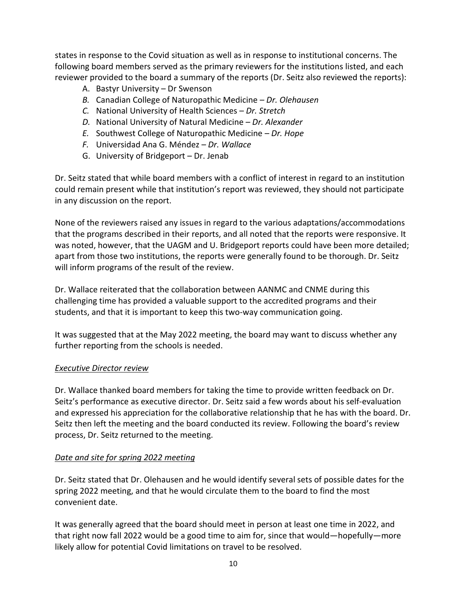states in response to the Covid situation as well as in response to institutional concerns. The following board members served as the primary reviewers for the institutions listed, and each reviewer provided to the board a summary of the reports (Dr. Seitz also reviewed the reports):

- A. Bastyr University Dr Swenson
- *B.* Canadian College of Naturopathic Medicine *Dr. Olehausen*
- *C.* National University of Health Sciences *Dr. Stretch*
- *D.* National University of Natural Medicine *Dr. Alexander*
- *E.* Southwest College of Naturopathic Medicine *Dr. Hope*
- *F.* Universidad Ana G. Méndez *Dr. Wallace*
- G. University of Bridgeport Dr. Jenab

Dr. Seitz stated that while board members with a conflict of interest in regard to an institution could remain present while that institution's report was reviewed, they should not participate in any discussion on the report.

None of the reviewers raised any issues in regard to the various adaptations/accommodations that the programs described in their reports, and all noted that the reports were responsive. It was noted, however, that the UAGM and U. Bridgeport reports could have been more detailed; apart from those two institutions, the reports were generally found to be thorough. Dr. Seitz will inform programs of the result of the review.

Dr. Wallace reiterated that the collaboration between AANMC and CNME during this challenging time has provided a valuable support to the accredited programs and their students, and that it is important to keep this two-way communication going.

It was suggested that at the May 2022 meeting, the board may want to discuss whether any further reporting from the schools is needed.

#### *Executive Director review*

Dr. Wallace thanked board members for taking the time to provide written feedback on Dr. Seitz's performance as executive director. Dr. Seitz said a few words about his self-evaluation and expressed his appreciation for the collaborative relationship that he has with the board. Dr. Seitz then left the meeting and the board conducted its review. Following the board's review process, Dr. Seitz returned to the meeting.

#### *Date and site for spring 2022 meeting*

Dr. Seitz stated that Dr. Olehausen and he would identify several sets of possible dates for the spring 2022 meeting, and that he would circulate them to the board to find the most convenient date.

It was generally agreed that the board should meet in person at least one time in 2022, and that right now fall 2022 would be a good time to aim for, since that would—hopefully—more likely allow for potential Covid limitations on travel to be resolved.